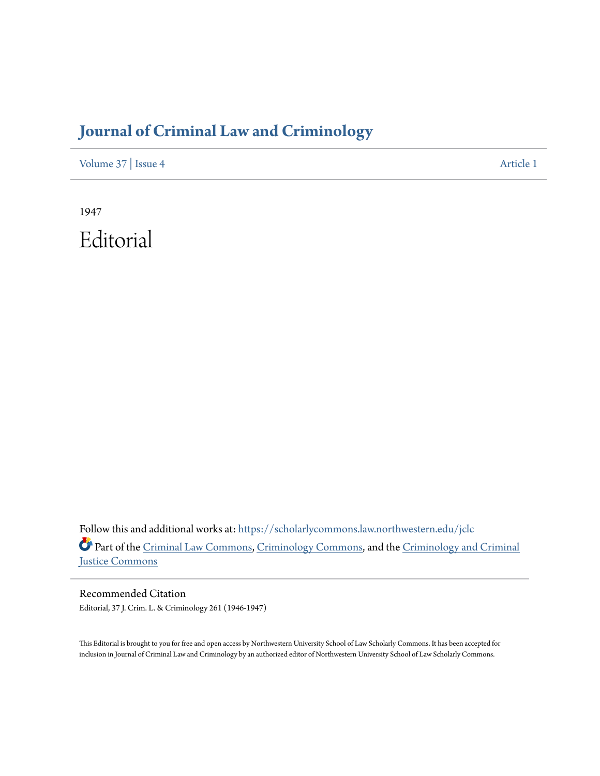## **[Journal of Criminal Law and Criminology](https://scholarlycommons.law.northwestern.edu/jclc?utm_source=scholarlycommons.law.northwestern.edu%2Fjclc%2Fvol37%2Fiss4%2F1&utm_medium=PDF&utm_campaign=PDFCoverPages)**

[Volume 37](https://scholarlycommons.law.northwestern.edu/jclc/vol37?utm_source=scholarlycommons.law.northwestern.edu%2Fjclc%2Fvol37%2Fiss4%2F1&utm_medium=PDF&utm_campaign=PDFCoverPages) | [Issue 4](https://scholarlycommons.law.northwestern.edu/jclc/vol37/iss4?utm_source=scholarlycommons.law.northwestern.edu%2Fjclc%2Fvol37%2Fiss4%2F1&utm_medium=PDF&utm_campaign=PDFCoverPages) [Article 1](https://scholarlycommons.law.northwestern.edu/jclc/vol37/iss4/1?utm_source=scholarlycommons.law.northwestern.edu%2Fjclc%2Fvol37%2Fiss4%2F1&utm_medium=PDF&utm_campaign=PDFCoverPages)

1947 Editorial

Follow this and additional works at: [https://scholarlycommons.law.northwestern.edu/jclc](https://scholarlycommons.law.northwestern.edu/jclc?utm_source=scholarlycommons.law.northwestern.edu%2Fjclc%2Fvol37%2Fiss4%2F1&utm_medium=PDF&utm_campaign=PDFCoverPages) Part of the [Criminal Law Commons](http://network.bepress.com/hgg/discipline/912?utm_source=scholarlycommons.law.northwestern.edu%2Fjclc%2Fvol37%2Fiss4%2F1&utm_medium=PDF&utm_campaign=PDFCoverPages), [Criminology Commons](http://network.bepress.com/hgg/discipline/417?utm_source=scholarlycommons.law.northwestern.edu%2Fjclc%2Fvol37%2Fiss4%2F1&utm_medium=PDF&utm_campaign=PDFCoverPages), and the [Criminology and Criminal](http://network.bepress.com/hgg/discipline/367?utm_source=scholarlycommons.law.northwestern.edu%2Fjclc%2Fvol37%2Fiss4%2F1&utm_medium=PDF&utm_campaign=PDFCoverPages) [Justice Commons](http://network.bepress.com/hgg/discipline/367?utm_source=scholarlycommons.law.northwestern.edu%2Fjclc%2Fvol37%2Fiss4%2F1&utm_medium=PDF&utm_campaign=PDFCoverPages)

Recommended Citation Editorial, 37 J. Crim. L. & Criminology 261 (1946-1947)

This Editorial is brought to you for free and open access by Northwestern University School of Law Scholarly Commons. It has been accepted for inclusion in Journal of Criminal Law and Criminology by an authorized editor of Northwestern University School of Law Scholarly Commons.